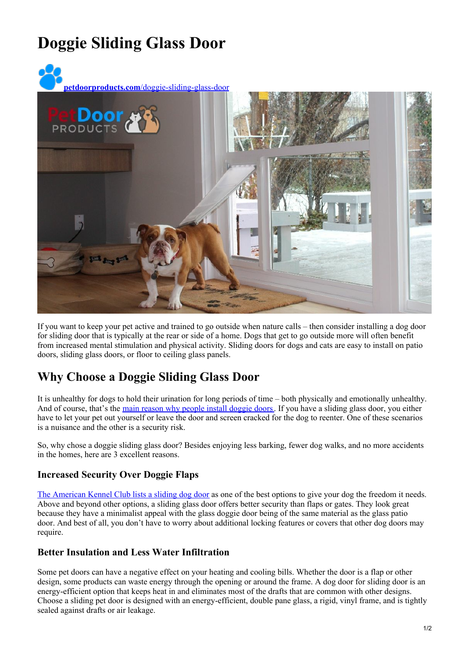# **Doggie Sliding Glass Door**



If you want to keep your pet active and trained to go outside when nature calls – then consider installing a dog door for sliding door that is typically at the rear or side of a home. Dogs that get to go outside more will often benefit from increased mental stimulation and physical activity. Sliding doors for dogs and cats are easy to install on patio doors, sliding glass doors, or floor to ceiling glass panels.

## **Why Choose a Doggie Sliding Glass Door**

It is unhealthy for dogs to hold their urination for long periods of time – both physically and emotionally unhealthy. And of course, that's the main reason why people install [doggie](https://www.petdoors.com/blog/why-you-need-a-pet-door/) doors. If you have a sliding glass door, you either have to let your pet out yourself or leave the door and screen cracked for the dog to reenter. One of these scenarios is a nuisance and the other is a security risk.

So, why chose a doggie sliding glass door? Besides enjoying less barking, fewer dog walks, and no more accidents in the homes, here are 3 excellent reasons.

#### **Increased Security Over Doggie Flaps**

The [American](https://www.akc.org/expert-advice/home-living/best-dog-door-for-your-pooch/) Kennel Club lists a sliding dog door as one of the best options to give your dog the freedom it needs. Above and beyond other options, a sliding glass door offers better security than flaps or gates. They look great because they have a minimalist appeal with the glass doggie door being of the same material as the glass patio door. And best of all, you don't have to worry about additional locking features or covers that other dog doors may require.

#### **Better Insulation and Less Water Infiltration**

Some pet doors can have a negative effect on your heating and cooling bills. Whether the door is a flap or other design, some products can waste energy through the opening or around the frame. A dog door for sliding door is an energy-efficient option that keeps heat in and eliminates most of the drafts that are common with other designs. Choose a sliding pet door is designed with an energy-efficient, double pane glass, a rigid, vinyl frame, and is tightly sealed against drafts or air leakage.